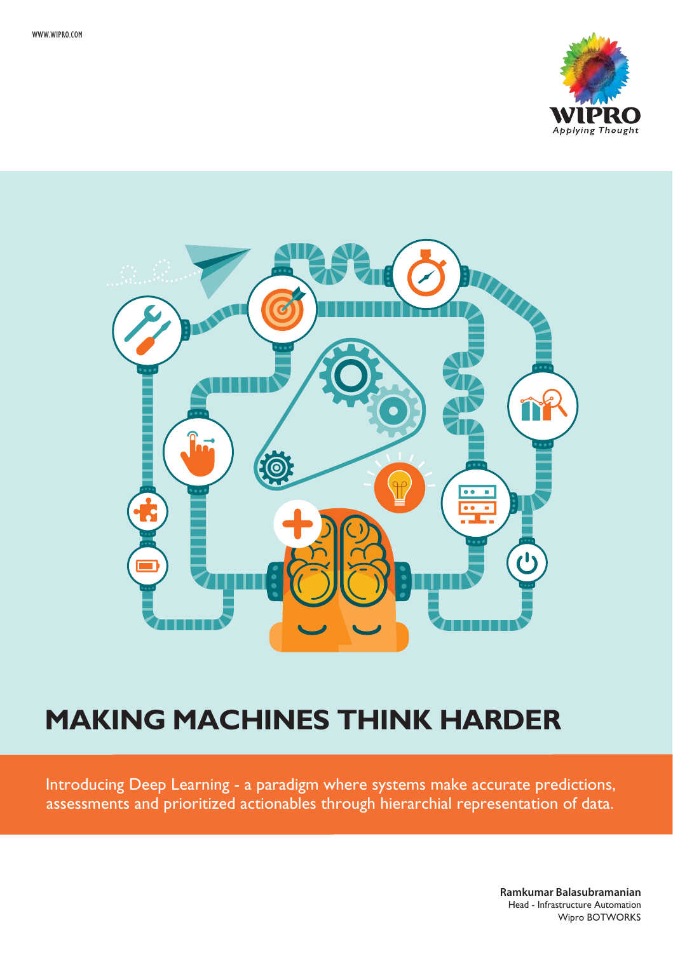



# **MAKING MACHINES THINK HARDER**

Introducing Deep Learning - a paradigm where systems make accurate predictions, assessments and prioritized actionables through hierarchial representation of data.

> **Ramkumar Balasubramanian** Head - Infrastructure Automation Wipro BOTWORKS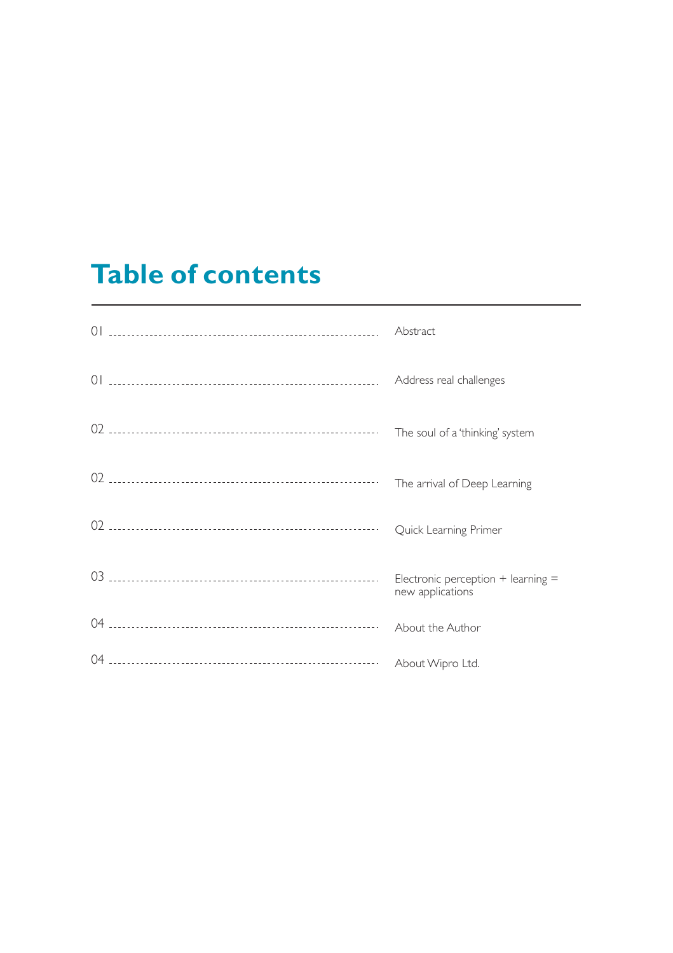# **Table of contents**

| $\bigcap$ | Abstract                                                   |
|-----------|------------------------------------------------------------|
| $\bigcap$ | Address real challenges                                    |
| 02        | The soul of a 'thinking' system                            |
|           | The arrival of Deep Learning                               |
|           | Quick Learning Primer                                      |
|           | Electronic perception $+$ learning $=$<br>new applications |
|           | About the Author                                           |
| 04        | About Wipro Ltd.                                           |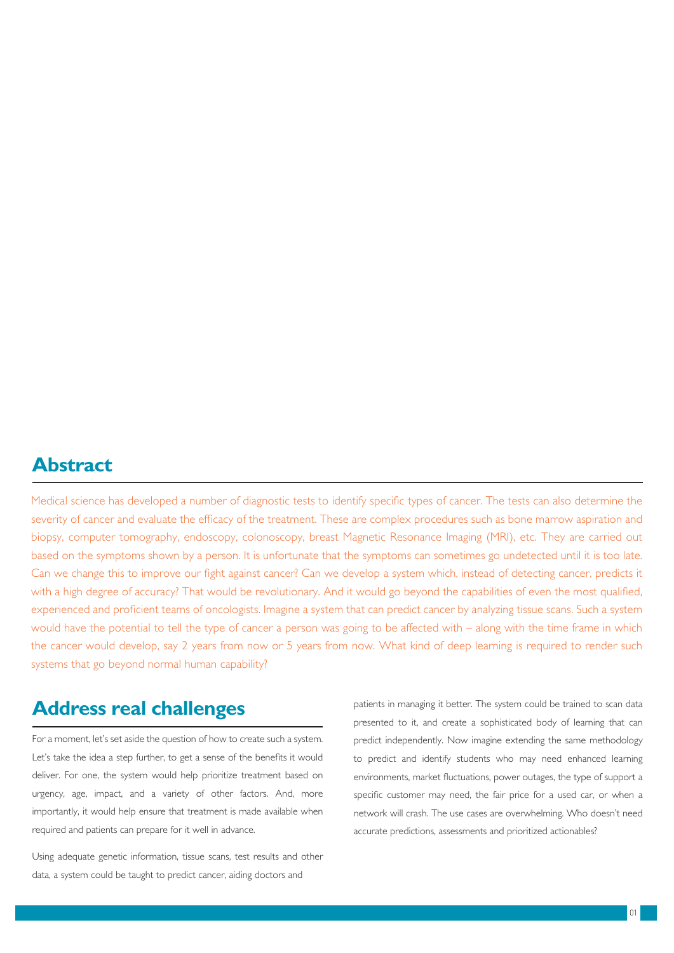#### **Abstract**

Medical science has developed a number of diagnostic tests to identify specific types of cancer. The tests can also determine the severity of cancer and evaluate the efficacy of the treatment. These are complex procedures such as bone marrow aspiration and biopsy, computer tomography, endoscopy, colonoscopy, breast Magnetic Resonance Imaging (MRI), etc. They are carried out based on the symptoms shown by a person. It is unfortunate that the symptoms can sometimes go undetected until it is too late. Can we change this to improve our fight against cancer? Can we develop a system which, instead of detecting cancer, predicts it with a high degree of accuracy? That would be revolutionary. And it would go beyond the capabilities of even the most qualified, experienced and proficient teams of oncologists. Imagine a system that can predict cancer by analyzing tissue scans. Such a system would have the potential to tell the type of cancer a person was going to be affected with – along with the time frame in which the cancer would develop, say 2 years from now or 5 years from now. What kind of deep learning is required to render such systems that go beyond normal human capability?

## **Address real challenges**

For a moment, let's set aside the question of how to create such a system. Let's take the idea a step further, to get a sense of the benefits it would deliver. For one, the system would help prioritize treatment based on urgency, age, impact, and a variety of other factors. And, more importantly, it would help ensure that treatment is made available when required and patients can prepare for it well in advance.

Using adequate genetic information, tissue scans, test results and other data, a system could be taught to predict cancer, aiding doctors and

patients in managing it better. The system could be trained to scan data presented to it, and create a sophisticated body of learning that can predict independently. Now imagine extending the same methodology to predict and identify students who may need enhanced learning environments, market fluctuations, power outages, the type of support a specific customer may need, the fair price for a used car, or when a network will crash. The use cases are overwhelming. Who doesn't need accurate predictions, assessments and prioritized actionables?

 $01$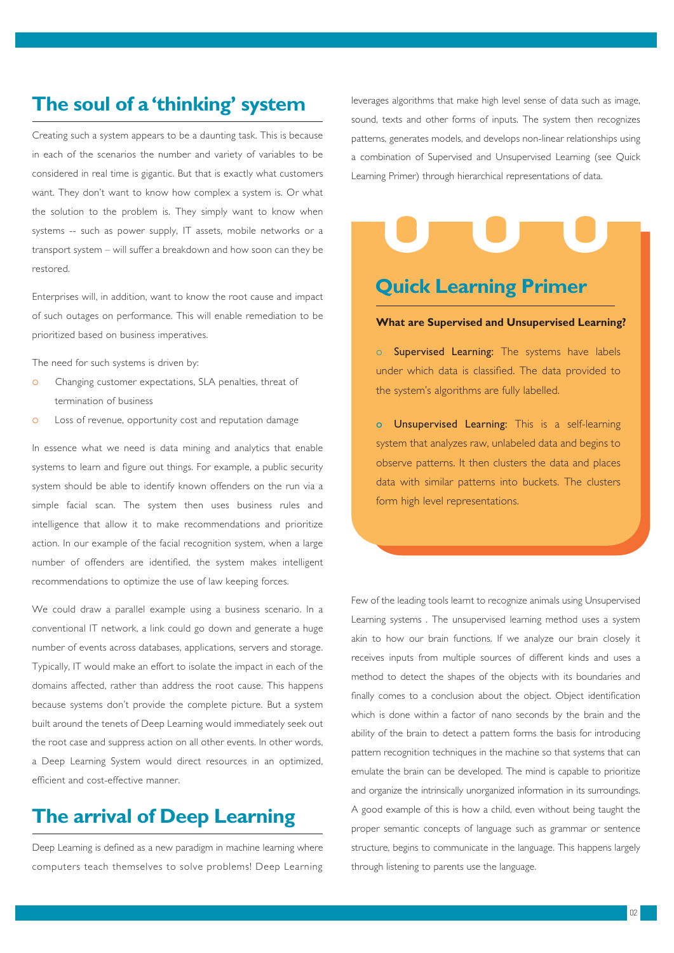# **The soul of a 'thinking' system**

Creating such a system appears to be a daunting task. This is because in each of the scenarios the number and variety of variables to be considered in real time is gigantic. But that is exactly what customers want. They don't want to know how complex a system is. Or what the solution to the problem is. They simply want to know when systems -- such as power supply, IT assets, mobile networks or a transport system – will suffer a breakdown and how soon can they be restored.

Enterprises will, in addition, want to know the root cause and impact of such outages on performance. This will enable remediation to be prioritized based on business imperatives.

The need for such systems is driven by:

- o Changing customer expectations, SLA penalties, threat of termination of business
- o Loss of revenue, opportunity cost and reputation damage

In essence what we need is data mining and analytics that enable systems to learn and figure out things. For example, a public security system should be able to identify known offenders on the run via a simple facial scan. The system then uses business rules and intelligence that allow it to make recommendations and prioritize action. In our example of the facial recognition system, when a large number of offenders are identified, the system makes intelligent recommendations to optimize the use of law keeping forces.

We could draw a parallel example using a business scenario. In a conventional IT network, a link could go down and generate a huge number of events across databases, applications, servers and storage. Typically, IT would make an effort to isolate the impact in each of the domains affected, rather than address the root cause. This happens because systems don't provide the complete picture. But a system built around the tenets of Deep Learning would immediately seek out the root case and suppress action on all other events. In other words, a Deep Learning System would direct resources in an optimized, efficient and cost-effective manner.

## **The arrival of Deep Learning**

Deep Learning is defined as a new paradigm in machine learning where computers teach themselves to solve problems! Deep Learning leverages algorithms that make high level sense of data such as image, sound, texts and other forms of inputs. The system then recognizes patterns, generates models, and develops non-linear relationships using a combination of Supervised and Unsupervised Learning (see Quick Learning Primer) through hierarchical representations of data.

## **Quick Learning Primer**

#### **What are Supervised and Unsupervised Learning?**

Supervised Learning: The systems have labels under which data is classified. The data provided to the system's algorithms are fully labelled.

o Unsupervised Learning: This is a self-learning system that analyzes raw, unlabeled data and begins to observe patterns. It then clusters the data and places data with similar patterns into buckets. The clusters form high level representations.

Few of the leading tools learnt to recognize animals using Unsupervised Learning systems . The unsupervised learning method uses a system akin to how our brain functions. If we analyze our brain closely it receives inputs from multiple sources of different kinds and uses a method to detect the shapes of the objects with its boundaries and finally comes to a conclusion about the object. Object identification which is done within a factor of nano seconds by the brain and the ability of the brain to detect a pattern forms the basis for introducing pattern recognition techniques in the machine so that systems that can emulate the brain can be developed. The mind is capable to prioritize and organize the intrinsically unorganized information in its surroundings. A good example of this is how a child, even without being taught the proper semantic concepts of language such as grammar or sentence structure, begins to communicate in the language. This happens largely through listening to parents use the language.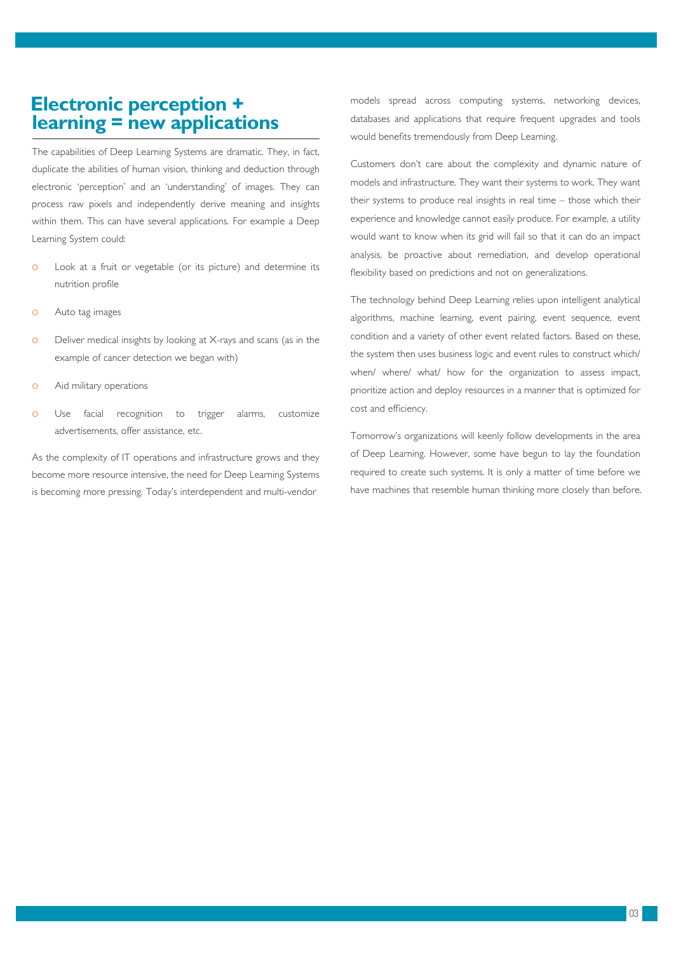#### **Electronic perception + learning = new applications**

The capabilities of Deep Learning Systems are dramatic. They, in fact, duplicate the abilities of human vision, thinking and deduction through electronic 'perception' and an 'understanding' of images. They can process raw pixels and independently derive meaning and insights within them. This can have several applications. For example a Deep Learning System could:

- o Look at a fruit or vegetable (or its picture) and determine its nutrition profile
- o Auto tag images
- o Deliver medical insights by looking at X-rays and scans (as in the example of cancer detection we began with)
- o Aid military operations
- o Use facial recognition to trigger alarms, customize advertisements, offer assistance, etc.

As the complexity of IT operations and infrastructure grows and they become more resource intensive, the need for Deep Learning Systems is becoming more pressing. Today's interdependent and multi-vendor

models spread across computing systems, networking devices, databases and applications that require frequent upgrades and tools would benefits tremendously from Deep Learning.

Customers don't care about the complexity and dynamic nature of models and infrastructure. They want their systems to work. They want their systems to produce real insights in real time – those which their experience and knowledge cannot easily produce. For example, a utility would want to know when its grid will fail so that it can do an impact analysis, be proactive about remediation, and develop operational flexibility based on predictions and not on generalizations.

The technology behind Deep Learning relies upon intelligent analytical algorithms, machine learning, event pairing, event sequence, event condition and a variety of other event related factors. Based on these, the system then uses business logic and event rules to construct which/ when/ where/ what/ how for the organization to assess impact, prioritize action and deploy resources in a manner that is optimized for cost and efficiency.

Tomorrow's organizations will keenly follow developments in the area of Deep Learning. However, some have begun to lay the foundation required to create such systems. It is only a matter of time before we have machines that resemble human thinking more closely than before.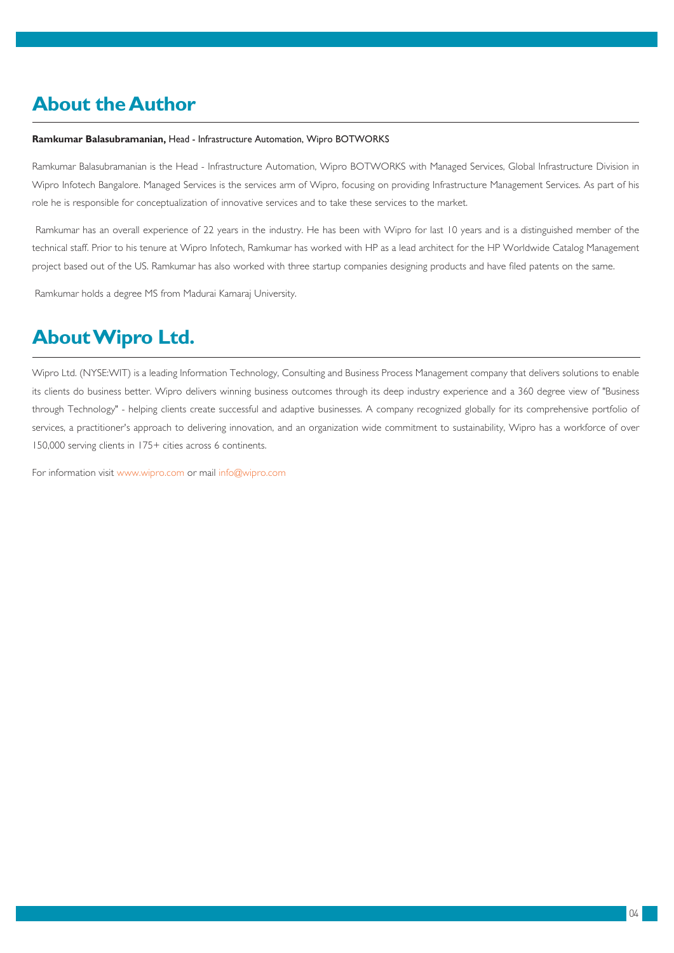# **About the Author**

#### **Ramkumar Balasubramanian,** Head - Infrastructure Automation, Wipro BOTWORKS

Ramkumar Balasubramanian is the Head - Infrastructure Automation, Wipro BOTWORKS with Managed Services, Global Infrastructure Division in Wipro Infotech Bangalore. Managed Services is the services arm of Wipro, focusing on providing Infrastructure Management Services. As part of his role he is responsible for conceptualization of innovative services and to take these services to the market.

 Ramkumar has an overall experience of 22 years in the industry. He has been with Wipro for last 10 years and is a distinguished member of the technical staff. Prior to his tenure at Wipro Infotech, Ramkumar has worked with HP as a lead architect for the HP Worldwide Catalog Management project based out of the US. Ramkumar has also worked with three startup companies designing products and have filed patents on the same.

Ramkumar holds a degree MS from Madurai Kamaraj University.

# **About Wipro Ltd.**

Wipro Ltd. (NYSE:WIT) is a leading Information Technology, Consulting and Business Process Management company that delivers solutions to enable its clients do business better. Wipro delivers winning business outcomes through its deep industry experience and a 360 degree view of "Business through Technology" - helping clients create successful and adaptive businesses. A company recognized globally for its comprehensive portfolio of services, a practitioner's approach to delivering innovation, and an organization wide commitment to sustainability, Wipro has a workforce of over 150,000 serving clients in 175+ cities across 6 continents.

For information visit www.wipro.com or mail info@wipro.com